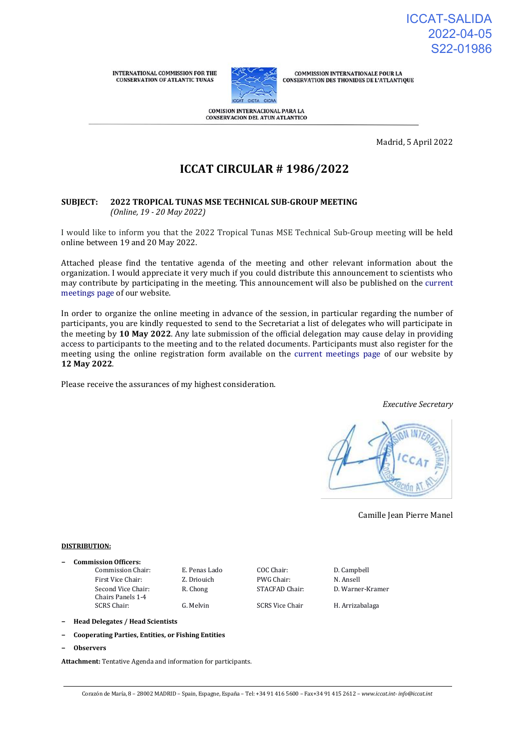**INTERNATIONAL COMMISSION FOR THE CONSERVATION OF ATLANTIC TUNAS** 



**COMMISSION INTERNATIONALE POUR LA CONSERVATION DES THONIDES DE L'ATLANTIQUE** 

COMISION INTERNACIONAL PARA LA **CONSERVACION DEL ATUN ATLANTICO** 

Madrid, 5 April 2022

# **ICCAT CIRCULAR # 1986/2022**

#### **SUBJECT: 2022 TROPICAL TUNAS MSE TECHNICAL SUB-GROUP MEETING** *(Online, 19 - 20 May 2022)*

I would like to inform you that the 2022 Tropical Tunas MSE Technical Sub-Group meeting will be held online between 19 and 20 May 2022.

Attached please find the tentative agenda of the meeting and other relevant information about the organization. I would appreciate it very much if you could distribute this announcement to scientists who may contribute by participating in the meeting. This announcement will also be published on the [current](https://www.iccat.int/en/Meetings.html)  [meetings page o](https://www.iccat.int/en/Meetings.html)f our website.

In order to organize the online meeting in advance of the session, in particular regarding the number of participants, you are kindly requested to send to the Secretariat a list of delegates who will participate in the meeting by **10 May 2022**. Any late submission of the official delegation may cause delay in providing access to participants to the meeting and to the related documents. Participants must also register for the meeting using the online registration form available on the [current meetings page o](https://www.iccat.int/en/Meetings.html)f our website by **12 May 2022**.

Please receive the assurances of my highest consideration.

*Executive Secretary*



Camille Jean Pierre Manel

#### **DISTRIBUTION:**

- **− Commission Officers:**
	- First Vice Chair: Z. Driouich PWG Chair: N. Ansell Second Vice Chair: Chairs Panels 1-4<br>SCRS Chair:

Commission Chair: E. Penas Lado COC Chair: D. Campbell

G. Melvin SCRS Vice Chair H. Arrizabalaga

R. Chong STACFAD Chair: D. Warner-Kramer

**− Head Delegates / Head Scientists**

- **− Cooperating Parties, Entities, or Fishing Entities**
- **− Observers**

**Attachment:** Tentative Agenda and information for participants.

Corazón de María, 8 – 28002 MADRID – Spain, Espagne, España – Tel: +34 91 416 5600 – Fax+34 91 415 2612 – *www.iccat.int- info@iccat.int*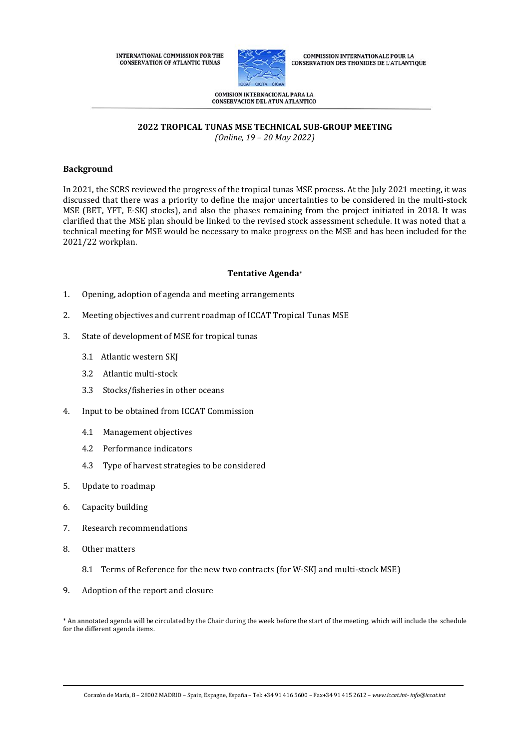**INTERNATIONAL COMMISSION FOR THE CONSERVATION OF ATLANTIC TUNAS** 



**COMMISSION INTERNATIONALE POUR LA CONSERVATION DES THONIDES DE L'ATLANTIQUE** 

**COMISION INTERNACIONAL PARA LA** CONSERVACION DEL ATUN ATLANTICO

# **2022 TROPICAL TUNAS MSE TECHNICAL SUB-GROUP MEETING**

*(Online, 19 – 20 May 2022)*

#### **Background**

In 2021, the SCRS reviewed the progress of the tropical tunas MSE process. At the July 2021 meeting, it was discussed that there was a priority to define the major uncertainties to be considered in the multi-stock MSE (BET, YFT, E-SKJ stocks), and also the phases remaining from the project initiated in 2018. It was clarified that the MSE plan should be linked to the revised stock assessment schedule. It was noted that a technical meeting for MSE would be necessary to make progress on the MSE and has been included for the 2021/22 workplan.

#### **Tentative Agenda**\*

- 1. Opening, adoption of agenda and meeting arrangements
- 2. Meeting objectives and current roadmap of ICCAT Tropical Tunas MSE
- 3. State of development of MSE for tropical tunas
	- 3.1 Atlantic western SKJ
	- 3.2 Atlantic multi-stock
	- 3.3 Stocks/fisheries in other oceans
- 4. Input to be obtained from ICCAT Commission
	- 4.1 Management objectives
	- 4.2 Performance indicators
	- 4.3 Type of harvest strategies to be considered
- 5. Update to roadmap
- 6. Capacity building
- 7. Research recommendations
- 8. Other matters
	- 8.1 Terms of Reference for the new two contracts (for W-SKJ and multi-stock MSE)
- 9. Adoption of the report and closure

\* An annotated agenda will be circulated by the Chair during the week before the start of the meeting, which will include the schedule for the different agenda items.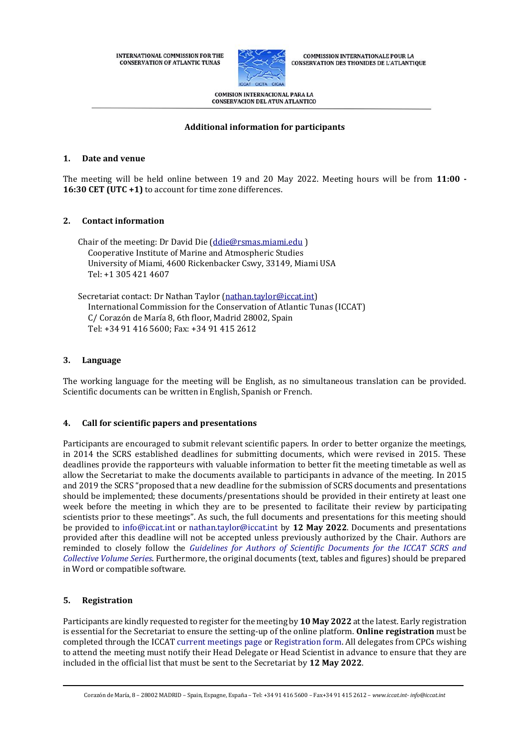**INTERNATIONAL COMMISSION FOR THE CONSERVATION OF ATLANTIC TUNAS** 



**COMMISSION INTERNATIONALE POUR LA CONSERVATION DES THONIDES DE L'ATLANTIQUE** 

**COMISION INTERNACIONAL PARA LA CONSERVACION DEL ATUN ATLANTICO** 

### **Additional information for participants**

# **1. Date and venue**

The meeting will be held online between 19 and 20 May 2022. Meeting hours will be from **11:00 - 16:30 CET (UTC +1)** to account for time zone differences.

# **2. Contact information**

Chair of the meeting: Dr David Die [\(ddie@rsmas.miami.edu](mailto:ddie@rsmas.miami.edu) ) Cooperative Institute of Marine and Atmospheric Studies University of Miami, 4600 Rickenbacker Cswy, 33149, Miami USA Tel: +1 305 421 4607

Secretariat contact: Dr Nathan Taylor [\(nathan.taylor@iccat.int\)](mailto:nathan.taylor@iccat.int) International Commission for the Conservation of Atlantic Tunas (ICCAT) C/ Corazón de María 8, 6th floor, Madrid 28002, Spain Tel: +34 91 416 5600; Fax: +34 91 415 2612

#### **3. Language**

The working language for the meeting will be English, as no simultaneous translation can be provided. Scientific documents can be written in English, Spanish or French.

#### **4. Call for scientific papers and presentations**

Participants are encouraged to submit relevant scientific papers. In order to better organize the meetings, in 2014 the SCRS established deadlines for submitting documents, which were revised in 2015. These deadlines provide the rapporteurs with valuable information to better fit the meeting timetable as well as allow the Secretariat to make the documents available to participants in advance of the meeting. In 2015 and 2019 the SCRS "proposed that a new deadline for the submission of SCRS documents and presentations should be implemented; these documents/presentations should be provided in their entirety at least one week before the meeting in which they are to be presented to facilitate their review by participating scientists prior to these meetings". As such, the full documents and presentations for this meeting should be provided to [info@iccat.int](mailto:info@iccat.int) or [nathan.taylor@iccat.int](mailto:nathan.taylor@iccat.int) by **12 May 2022**. Documents and presentations provided after this deadline will not be accepted unless previously authorized by the Chair. Authors are reminded to closely follow the *[Guidelines for Authors of Scientific Documents for the ICCAT SCRS and](https://www.iccat.int/Documents/SCRS/Other/Guide_ColVol_ENG.pdf)  [Collective Volume Series](https://www.iccat.int/Documents/SCRS/Other/Guide_ColVol_ENG.pdf)*. Furthermore, the original documents (text, tables and figures) should be prepared in Word or compatible software.

# **5. Registration**

Participants are kindly requested to register for the meeting by **10 May 2022** at the latest. Early registration is essential for the Secretariat to ensure the setting-up of the online platform. **Online registration** must be completed through the ICCA[T current meetings page](https://www.iccat.int/en/Meetings.html) o[r Registration form.](https://www.iccat.int/en/formmeet.html) All delegates from CPCs wishing to attend the meeting must notify their Head Delegate or Head Scientist in advance to ensure that they are included in the official list that must be sent to the Secretariat by **12 May 2022**.